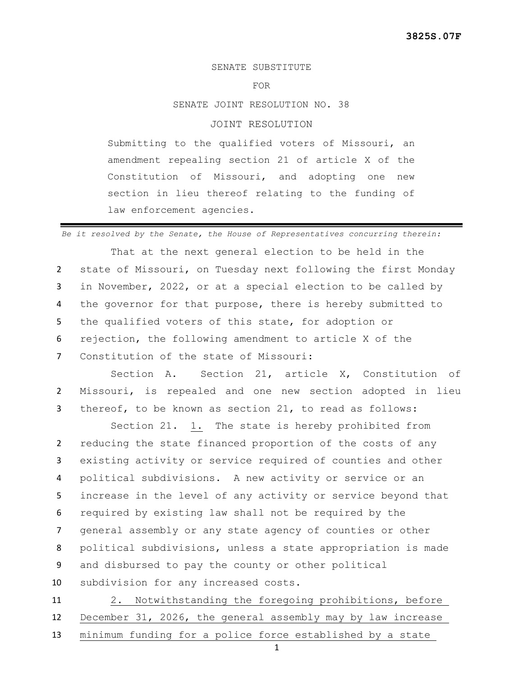## SENATE SUBSTITUTE

FOR

SENATE JOINT RESOLUTION NO. 38

## JOINT RESOLUTION

Submitting to the qualified voters of Missouri, an amendment repealing section 21 of article X of the Constitution of Missouri, and adopting one new section in lieu thereof relating to the funding of law enforcement agencies.

*Be it resolved by the Senate, the House of Representatives concurring therein:*

That at the next general election to be held in the state of Missouri, on Tuesday next following the first Monday in November, 2022, or at a special election to be called by the governor for that purpose, there is hereby submitted to the qualified voters of this state, for adoption or rejection, the following amendment to article X of the Constitution of the state of Missouri:

Section A. Section 21, article X, Constitution of 2 Missouri, is repealed and one new section adopted in lieu 3 thereof, to be known as section 21, to read as follows:

Section 21. 1. The state is hereby prohibited from reducing the state financed proportion of the costs of any existing activity or service required of counties and other political subdivisions. A new activity or service or an increase in the level of any activity or service beyond that required by existing law shall not be required by the general assembly or any state agency of counties or other political subdivisions, unless a state appropriation is made and disbursed to pay the county or other political subdivision for any increased costs.

11 2. Notwithstanding the foregoing prohibitions, before 12 December 31, 2026, the general assembly may by law increase 13 minimum funding for a police force established by a state

1